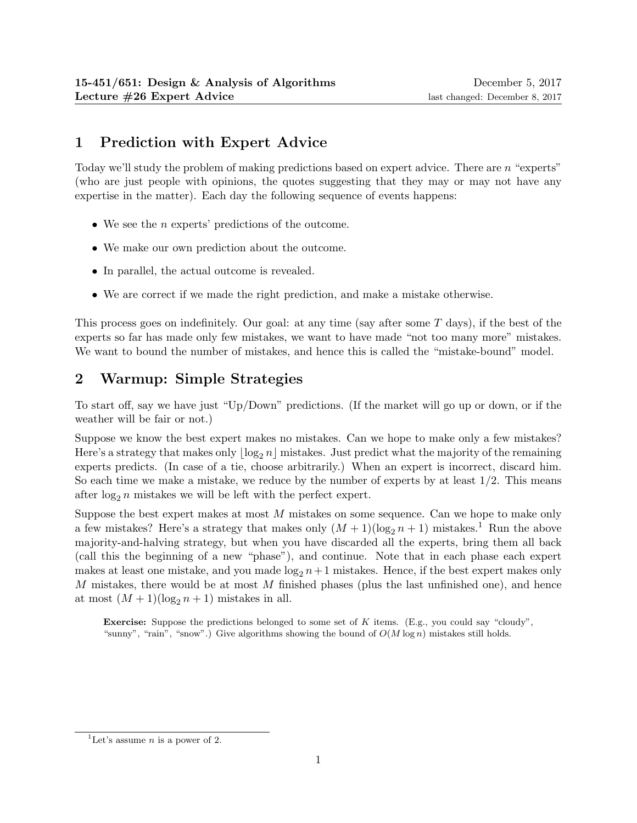# 1 Prediction with Expert Advice

Today we'll study the problem of making predictions based on expert advice. There are n "experts" (who are just people with opinions, the quotes suggesting that they may or may not have any expertise in the matter). Each day the following sequence of events happens:

- We see the *n* experts' predictions of the outcome.
- We make our own prediction about the outcome.
- In parallel, the actual outcome is revealed.
- We are correct if we made the right prediction, and make a mistake otherwise.

This process goes on indefinitely. Our goal: at any time (say after some T days), if the best of the experts so far has made only few mistakes, we want to have made "not too many more" mistakes. We want to bound the number of mistakes, and hence this is called the "mistake-bound" model.

## 2 Warmup: Simple Strategies

To start off, say we have just "Up/Down" predictions. (If the market will go up or down, or if the weather will be fair or not.)

Suppose we know the best expert makes no mistakes. Can we hope to make only a few mistakes? Here's a strategy that makes only  $\log_2 n \mid$  mistakes. Just predict what the majority of the remaining experts predicts. (In case of a tie, choose arbitrarily.) When an expert is incorrect, discard him. So each time we make a mistake, we reduce by the number of experts by at least  $1/2$ . This means after  $\log_2 n$  mistakes we will be left with the perfect expert.

Suppose the best expert makes at most  $M$  mistakes on some sequence. Can we hope to make only a few mistakes? Here's a strategy that makes only  $(M+1)(\log_2 n + 1)$  mistakes.<sup>1</sup> Run the above majority-and-halving strategy, but when you have discarded all the experts, bring them all back (call this the beginning of a new "phase"), and continue. Note that in each phase each expert makes at least one mistake, and you made  $\log_2 n+1$  mistakes. Hence, if the best expert makes only M mistakes, there would be at most M finished phases (plus the last unfinished one), and hence at most  $(M + 1)(\log_2 n + 1)$  mistakes in all.

**Exercise:** Suppose the predictions belonged to some set of K items. (E.g., you could say "cloudy", "sunny", "rain", "snow".) Give algorithms showing the bound of  $O(M \log n)$  mistakes still holds.

<sup>&</sup>lt;sup>1</sup>Let's assume *n* is a power of 2.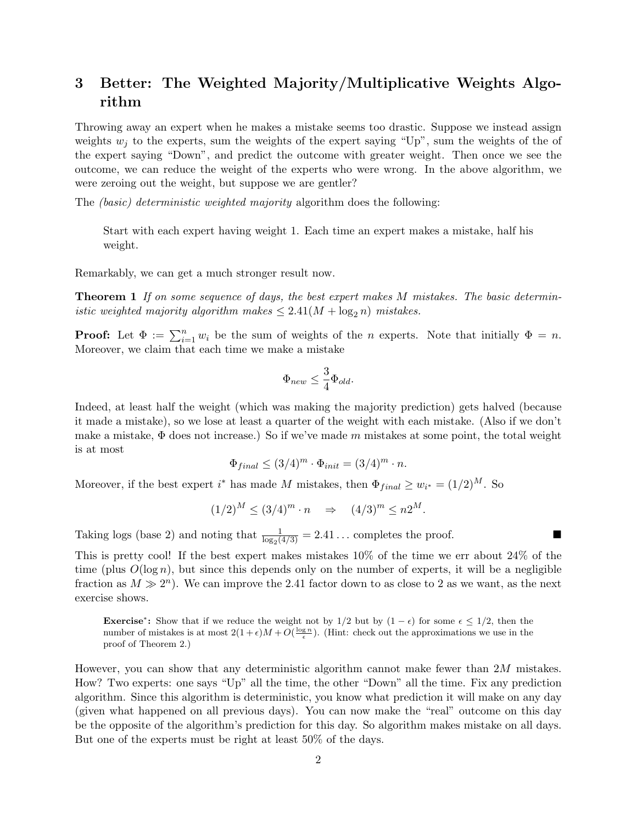## 3 Better: The Weighted Majority/Multiplicative Weights Algorithm

Throwing away an expert when he makes a mistake seems too drastic. Suppose we instead assign weights  $w_i$  to the experts, sum the weights of the expert saying "Up", sum the weights of the of the expert saying "Down", and predict the outcome with greater weight. Then once we see the outcome, we can reduce the weight of the experts who were wrong. In the above algorithm, we were zeroing out the weight, but suppose we are gentler?

The *(basic)* deterministic weighted majority algorithm does the following:

Start with each expert having weight 1. Each time an expert makes a mistake, half his weight.

Remarkably, we can get a much stronger result now.

Theorem 1 If on some sequence of days, the best expert makes M mistakes. The basic deterministic weighted majority algorithm makes  $\leq 2.41(M + \log_2 n)$  mistakes.

**Proof:** Let  $\Phi := \sum_{i=1}^n w_i$  be the sum of weights of the n experts. Note that initially  $\Phi = n$ . Moreover, we claim that each time we make a mistake

$$
\Phi_{new} \leq \frac{3}{4}\Phi_{old}.
$$

Indeed, at least half the weight (which was making the majority prediction) gets halved (because it made a mistake), so we lose at least a quarter of the weight with each mistake. (Also if we don't make a mistake,  $\Phi$  does not increase.) So if we've made m mistakes at some point, the total weight is at most

$$
\Phi_{final} \le (3/4)^m \cdot \Phi_{init} = (3/4)^m \cdot n.
$$

Moreover, if the best expert  $i^*$  has made M mistakes, then  $\Phi_{final} \geq w_{i^*} = (1/2)^M$ . So

$$
(1/2)^M \le (3/4)^m \cdot n \quad \Rightarrow \quad (4/3)^m \le n2^M.
$$

Taking logs (base 2) and noting that  $\frac{1}{\log_2(4/3)} = 2.41...$  completes the proof.

This is pretty cool! If the best expert makes mistakes 10% of the time we err about 24% of the time (plus  $O(\log n)$ , but since this depends only on the number of experts, it will be a negligible fraction as  $M \gg 2^n$ ). We can improve the 2.41 factor down to as close to 2 as we want, as the next exercise shows.

**Exercise**<sup>\*</sup>: Show that if we reduce the weight not by 1/2 but by  $(1 - \epsilon)$  for some  $\epsilon \leq 1/2$ , then the number of mistakes is at most  $2(1+\epsilon)M+O(\frac{\log n}{\epsilon})$ . (Hint: check out the approximations we use in the proof of Theorem 2.)

However, you can show that any deterministic algorithm cannot make fewer than  $2M$  mistakes. How? Two experts: one says "Up" all the time, the other "Down" all the time. Fix any prediction algorithm. Since this algorithm is deterministic, you know what prediction it will make on any day (given what happened on all previous days). You can now make the "real" outcome on this day be the opposite of the algorithm's prediction for this day. So algorithm makes mistake on all days. But one of the experts must be right at least 50% of the days.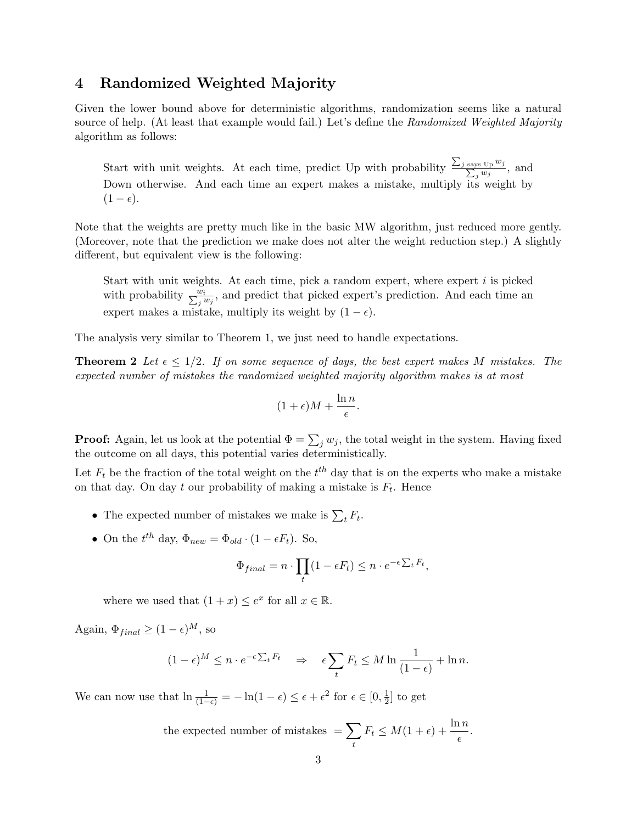### 4 Randomized Weighted Majority

Given the lower bound above for deterministic algorithms, randomization seems like a natural source of help. (At least that example would fail.) Let's define the Randomized Weighted Majority algorithm as follows:

Start with unit weights. At each time, predict Up with probability  $\frac{\sum_j s_{\text{av}}}{\sum_j}$ says  $U_P w_j$  $\frac{\log \mathrm{Up} \, w_j}{\log w_j}$ , and Down otherwise. And each time an expert makes a mistake, multiply its weight by  $(1 - \epsilon).$ 

Note that the weights are pretty much like in the basic MW algorithm, just reduced more gently. (Moreover, note that the prediction we make does not alter the weight reduction step.) A slightly different, but equivalent view is the following:

Start with unit weights. At each time, pick a random expert, where expert  $i$  is picked with probability  $\frac{w_i}{\sum_j w_j}$ , and predict that picked expert's prediction. And each time an expert makes a mistake, multiply its weight by  $(1 - \epsilon)$ .

The analysis very similar to Theorem 1, we just need to handle expectations.

**Theorem 2** Let  $\epsilon \leq 1/2$ . If on some sequence of days, the best expert makes M mistakes. The expected number of mistakes the randomized weighted majority algorithm makes is at most

$$
(1+\epsilon)M+\frac{\ln n}{\epsilon}.
$$

**Proof:** Again, let us look at the potential  $\Phi = \sum_j w_j$ , the total weight in the system. Having fixed the outcome on all days, this potential varies deterministically.

Let  $F_t$  be the fraction of the total weight on the  $t^{th}$  day that is on the experts who make a mistake on that day. On day  $t$  our probability of making a mistake is  $F_t$ . Hence

- The expected number of mistakes we make is  $\sum_t F_t$ .
- On the  $t^{th}$  day,  $\Phi_{new} = \Phi_{old} \cdot (1 \epsilon F_t)$ . So,

$$
\Phi_{final} = n \cdot \prod_t (1 - \epsilon F_t) \le n \cdot e^{-\epsilon \sum_t F_t},
$$

where we used that  $(1+x) \leq e^x$  for all  $x \in \mathbb{R}$ .

Again,  $\Phi_{final} \geq (1 - \epsilon)^M$ , so

$$
(1 - \epsilon)^M \le n \cdot e^{-\epsilon \sum_t F_t} \quad \Rightarrow \quad \epsilon \sum_t F_t \le M \ln \frac{1}{(1 - \epsilon)} + \ln n.
$$

We can now use that  $\ln \frac{1}{(1-\epsilon)} = -\ln(1-\epsilon) \leq \epsilon + \epsilon^2$  for  $\epsilon \in [0, \frac{1}{2}]$  $\frac{1}{2}$  to get

the expected number of mistakes 
$$
= \sum_{t} F_t \leq M(1+\epsilon) + \frac{\ln n}{\epsilon}.
$$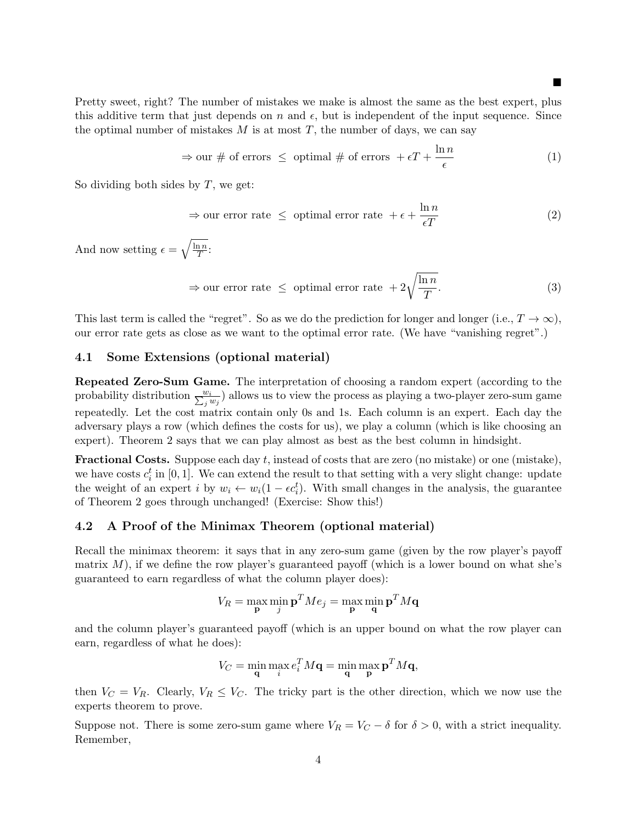Pretty sweet, right? The number of mistakes we make is almost the same as the best expert, plus this additive term that just depends on n and  $\epsilon$ , but is independent of the input sequence. Since

ш

$$
\Rightarrow \text{our } \# \text{ of errors } \leq \text{ optimal } \# \text{ of errors } + \epsilon T + \frac{\ln n}{\epsilon} \tag{1}
$$

So dividing both sides by  $T$ , we get:

$$
\Rightarrow \text{our error rate } \leq \text{ optimal error rate } + \epsilon + \frac{\ln n}{\epsilon T} \tag{2}
$$

And now setting  $\epsilon = \sqrt{\frac{\ln n}{T}}$  $\frac{\mathfrak{n}\,n}{T}\colon$ 

$$
\Rightarrow \text{our error rate } \leq \text{ optimal error rate } + 2\sqrt{\frac{\ln n}{T}}.\tag{3}
$$

This last term is called the "regret". So as we do the prediction for longer and longer (i.e.,  $T \to \infty$ ), our error rate gets as close as we want to the optimal error rate. (We have "vanishing regret".)

the optimal number of mistakes  $M$  is at most  $T$ , the number of days, we can say

#### 4.1 Some Extensions (optional material)

Repeated Zero-Sum Game. The interpretation of choosing a random expert (according to the probability distribution  $\frac{w_i}{\sum_j w_j}$ ) allows us to view the process as playing a two-player zero-sum game repeatedly. Let the cost matrix contain only 0s and 1s. Each column is an expert. Each day the adversary plays a row (which defines the costs for us), we play a column (which is like choosing an expert). Theorem 2 says that we can play almost as best as the best column in hindsight.

**Fractional Costs.** Suppose each day  $t$ , instead of costs that are zero (no mistake) or one (mistake), we have costs  $c_i^t$  in [0, 1]. We can extend the result to that setting with a very slight change: update the weight of an expert i by  $w_i \leftarrow w_i(1 - \epsilon c_i^t)$ . With small changes in the analysis, the guarantee of Theorem 2 goes through unchanged! (Exercise: Show this!)

### 4.2 A Proof of the Minimax Theorem (optional material)

Recall the minimax theorem: it says that in any zero-sum game (given by the row player's payoff matrix  $M$ ), if we define the row player's guaranteed payoff (which is a lower bound on what she's guaranteed to earn regardless of what the column player does):

$$
V_R = \max_{\mathbf{p}} \min_j \mathbf{p}^T M e_j = \max_{\mathbf{p}} \min_{\mathbf{q}} \mathbf{p}^T M \mathbf{q}
$$

and the column player's guaranteed payoff (which is an upper bound on what the row player can earn, regardless of what he does):

$$
V_C = \min_{\mathbf{q}} \max_{i} e_i^T M \mathbf{q} = \min_{\mathbf{q}} \max_{\mathbf{p}} \mathbf{p}^T M \mathbf{q},
$$

then  $V_C = V_R$ . Clearly,  $V_R \leq V_C$ . The tricky part is the other direction, which we now use the experts theorem to prove.

Suppose not. There is some zero-sum game where  $V_R = V_C - \delta$  for  $\delta > 0$ , with a strict inequality. Remember,